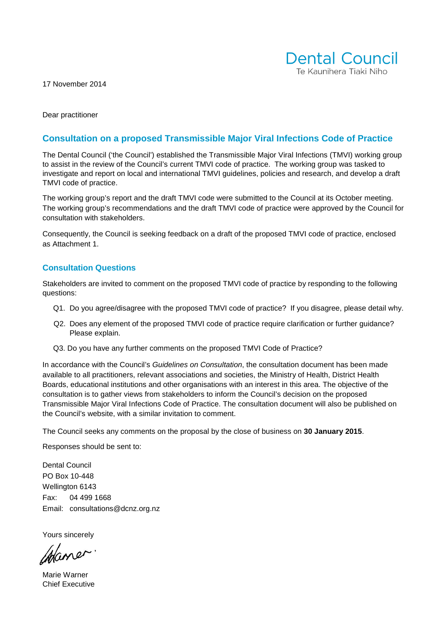17 November 2014



Dear practitioner

## **Consultation on a proposed Transmissible Major Viral Infections Code of Practice**

The Dental Council ('the Council') established the Transmissible Major Viral Infections (TMVI) working group to assist in the review of the Council's current TMVI code of practice. The working group was tasked to investigate and report on local and international TMVI guidelines, policies and research, and develop a draft TMVI code of practice.

The working group's report and the draft TMVI code were submitted to the Council at its October meeting. The working group's recommendations and the draft TMVI code of practice were approved by the Council for consultation with stakeholders.

Consequently, the Council is seeking feedback on a draft of the proposed TMVI code of practice, enclosed as Attachment 1.

#### **Consultation Questions**

Stakeholders are invited to comment on the proposed TMVI code of practice by responding to the following questions:

- Q1. Do you agree/disagree with the proposed TMVI code of practice? If you disagree, please detail why.
- Q2. Does any element of the proposed TMVI code of practice require clarification or further guidance? Please explain.
- Q3. Do you have any further comments on the proposed TMVI Code of Practice?

In accordance with the Council's Guidelines on Consultation, the consultation document has been made available to all practitioners, relevant associations and societies, the Ministry of Health, District Health Boards, educational institutions and other organisations with an interest in this area. The objective of the consultation is to gather views from stakeholders to inform the Council's decision on the proposed Transmissible Major Viral Infections Code of Practice. The consultation document will also be published on the Council's website, with a similar invitation to comment.

The Council seeks any comments on the proposal by the close of business on **30 January 2015**.

Responses should be sent to:

Dental Council PO Box 10-448 Wellington 6143 Fax: 04 499 1668 Email: consultations@dcnz.org.nz

Yours sincerely

Chaner

Marie Warner Chief Executive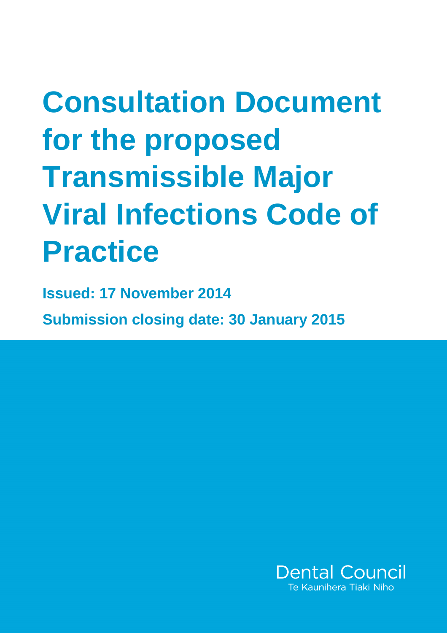## **Consultation Document for the proposed Transmissible Major Viral Infections Code of Practice**

**Issued: 17 November 2014 Submission closing date: 30 January 2015** 

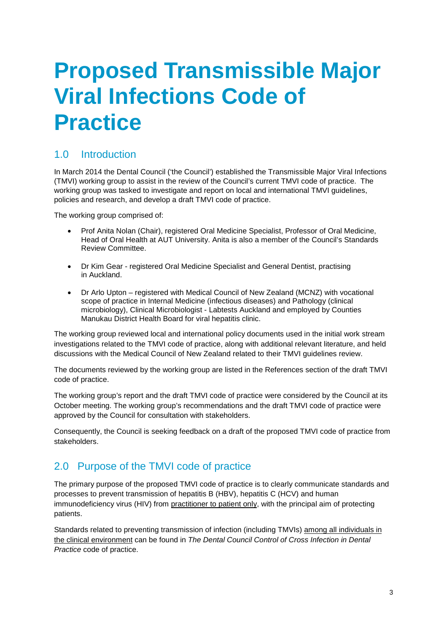## **Proposed Transmissible Major Viral Infections Code of Practice**

## 1.0 Introduction

In March 2014 the Dental Council ('the Council') established the Transmissible Major Viral Infections (TMVI) working group to assist in the review of the Council's current TMVI code of practice. The working group was tasked to investigate and report on local and international TMVI guidelines, policies and research, and develop a draft TMVI code of practice.

The working group comprised of:

- Prof Anita Nolan (Chair), registered Oral Medicine Specialist, Professor of Oral Medicine, Head of Oral Health at AUT University. Anita is also a member of the Council's Standards Review Committee.
- Dr Kim Gear registered Oral Medicine Specialist and General Dentist, practising in Auckland.
- Dr Arlo Upton registered with Medical Council of New Zealand (MCNZ) with vocational scope of practice in Internal Medicine (infectious diseases) and Pathology (clinical microbiology), Clinical Microbiologist - Labtests Auckland and employed by Counties Manukau District Health Board for viral hepatitis clinic.

The working group reviewed local and international policy documents used in the initial work stream investigations related to the TMVI code of practice, along with additional relevant literature, and held discussions with the Medical Council of New Zealand related to their TMVI guidelines review.

The documents reviewed by the working group are listed in the References section of the draft TMVI code of practice.

The working group's report and the draft TMVI code of practice were considered by the Council at its October meeting. The working group's recommendations and the draft TMVI code of practice were approved by the Council for consultation with stakeholders.

Consequently, the Council is seeking feedback on a draft of the proposed TMVI code of practice from stakeholders.

## 2.0 Purpose of the TMVI code of practice

The primary purpose of the proposed TMVI code of practice is to clearly communicate standards and processes to prevent transmission of hepatitis B (HBV), hepatitis C (HCV) and human immunodeficiency virus (HIV) from practitioner to patient only, with the principal aim of protecting patients.

Standards related to preventing transmission of infection (including TMVIs) among all individuals in the clinical environment can be found in The Dental Council Control of Cross Infection in Dental Practice code of practice.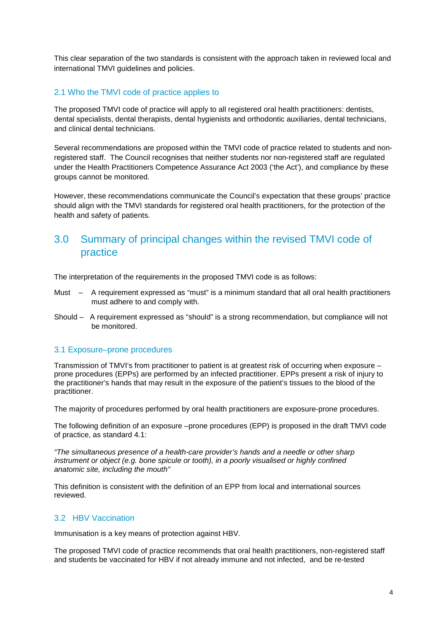This clear separation of the two standards is consistent with the approach taken in reviewed local and international TMVI guidelines and policies.

#### 2.1 Who the TMVI code of practice applies to

The proposed TMVI code of practice will apply to all registered oral health practitioners: dentists, dental specialists, dental therapists, dental hygienists and orthodontic auxiliaries, dental technicians, and clinical dental technicians.

Several recommendations are proposed within the TMVI code of practice related to students and nonregistered staff. The Council recognises that neither students nor non-registered staff are regulated under the Health Practitioners Competence Assurance Act 2003 ('the Act'), and compliance by these groups cannot be monitored.

However, these recommendations communicate the Council's expectation that these groups' practice should align with the TMVI standards for registered oral health practitioners, for the protection of the health and safety of patients.

#### 3.0 Summary of principal changes within the revised TMVI code of practice

The interpretation of the requirements in the proposed TMVI code is as follows:

- Must A requirement expressed as "must" is a minimum standard that all oral health practitioners must adhere to and comply with.
- Should A requirement expressed as "should" is a strong recommendation, but compliance will not be monitored.

#### 3.1 Exposure–prone procedures

Transmission of TMVI's from practitioner to patient is at greatest risk of occurring when exposure – prone procedures (EPPs) are performed by an infected practitioner. EPPs present a risk of injury to the practitioner's hands that may result in the exposure of the patient's tissues to the blood of the practitioner.

The majority of procedures performed by oral health practitioners are exposure-prone procedures.

The following definition of an exposure –prone procedures (EPP) is proposed in the draft TMVI code of practice, as standard 4.1:

"The simultaneous presence of a health-care provider's hands and a needle or other sharp instrument or object (e.g. bone spicule or tooth), in a poorly visualised or highly confined anatomic site, including the mouth"

This definition is consistent with the definition of an EPP from local and international sources reviewed.

#### 3.2HBV Vaccination

Immunisation is a key means of protection against HBV.

The proposed TMVI code of practice recommends that oral health practitioners, non-registered staff and students be vaccinated for HBV if not already immune and not infected, and be re-tested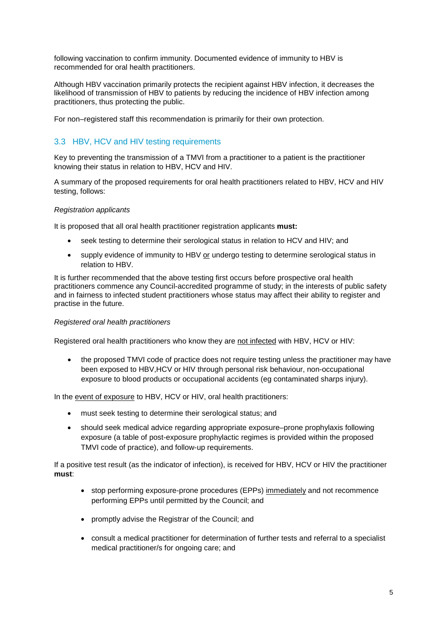following vaccination to confirm immunity. Documented evidence of immunity to HBV is recommended for oral health practitioners.

Although HBV vaccination primarily protects the recipient against HBV infection, it decreases the likelihood of transmission of HBV to patients by reducing the incidence of HBV infection among practitioners, thus protecting the public.

For non–registered staff this recommendation is primarily for their own protection.

#### 3.3 HBV, HCV and HIV testing requirements

Key to preventing the transmission of a TMVI from a practitioner to a patient is the practitioner knowing their status in relation to HBV, HCV and HIV.

A summary of the proposed requirements for oral health practitioners related to HBV, HCV and HIV testing, follows:

#### Registration applicants

It is proposed that all oral health practitioner registration applicants **must:**

- seek testing to determine their serological status in relation to HCV and HIV; and
- supply evidence of immunity to HBV or undergo testing to determine serological status in relation to HBV.

It is further recommended that the above testing first occurs before prospective oral health practitioners commence any Council-accredited programme of study; in the interests of public safety and in fairness to infected student practitioners whose status may affect their ability to register and practise in the future.

#### Registered oral health practitioners

Registered oral health practitioners who know they are not infected with HBV, HCV or HIV:

• the proposed TMVI code of practice does not require testing unless the practitioner may have been exposed to HBV,HCV or HIV through personal risk behaviour, non-occupational exposure to blood products or occupational accidents (eg contaminated sharps injury).

In the event of exposure to HBV, HCV or HIV, oral health practitioners:

- must seek testing to determine their serological status; and
- should seek medical advice regarding appropriate exposure–prone prophylaxis following exposure (a table of post-exposure prophylactic regimes is provided within the proposed TMVI code of practice), and follow-up requirements.

If a positive test result (as the indicator of infection), is received for HBV, HCV or HIV the practitioner **must**:

- stop performing exposure-prone procedures (EPPs) immediately and not recommence performing EPPs until permitted by the Council; and
- promptly advise the Registrar of the Council; and
- consult a medical practitioner for determination of further tests and referral to a specialist medical practitioner/s for ongoing care; and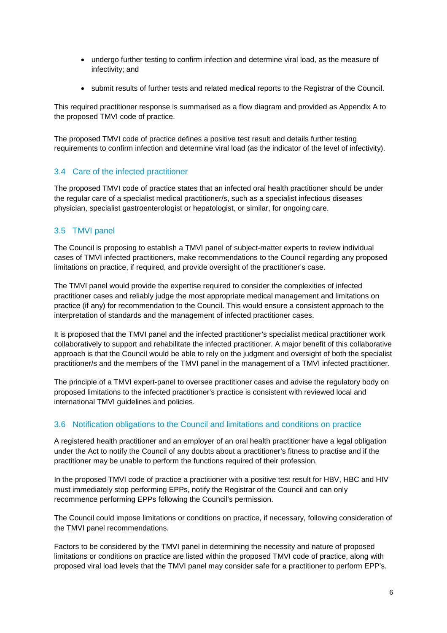- undergo further testing to confirm infection and determine viral load, as the measure of infectivity; and
- submit results of further tests and related medical reports to the Registrar of the Council.

This required practitioner response is summarised as a flow diagram and provided as Appendix A to the proposed TMVI code of practice.

The proposed TMVI code of practice defines a positive test result and details further testing requirements to confirm infection and determine viral load (as the indicator of the level of infectivity).

#### 3.4 Care of the infected practitioner

The proposed TMVI code of practice states that an infected oral health practitioner should be under the regular care of a specialist medical practitioner/s, such as a specialist infectious diseases physician, specialist gastroenterologist or hepatologist, or similar, for ongoing care.

#### 3.5 TMVI panel

The Council is proposing to establish a TMVI panel of subject-matter experts to review individual cases of TMVI infected practitioners, make recommendations to the Council regarding any proposed limitations on practice, if required, and provide oversight of the practitioner's case.

The TMVI panel would provide the expertise required to consider the complexities of infected practitioner cases and reliably judge the most appropriate medical management and limitations on practice (if any) for recommendation to the Council. This would ensure a consistent approach to the interpretation of standards and the management of infected practitioner cases.

It is proposed that the TMVI panel and the infected practitioner's specialist medical practitioner work collaboratively to support and rehabilitate the infected practitioner. A major benefit of this collaborative approach is that the Council would be able to rely on the judgment and oversight of both the specialist practitioner/s and the members of the TMVI panel in the management of a TMVI infected practitioner.

The principle of a TMVI expert-panel to oversee practitioner cases and advise the regulatory body on proposed limitations to the infected practitioner's practice is consistent with reviewed local and international TMVI guidelines and policies.

#### 3.6 Notification obligations to the Council and limitations and conditions on practice

A registered health practitioner and an employer of an oral health practitioner have a legal obligation under the Act to notify the Council of any doubts about a practitioner's fitness to practise and if the practitioner may be unable to perform the functions required of their profession.

In the proposed TMVI code of practice a practitioner with a positive test result for HBV, HBC and HIV must immediately stop performing EPPs, notify the Registrar of the Council and can only recommence performing EPPs following the Council's permission.

The Council could impose limitations or conditions on practice, if necessary, following consideration of the TMVI panel recommendations.

Factors to be considered by the TMVI panel in determining the necessity and nature of proposed limitations or conditions on practice are listed within the proposed TMVI code of practice, along with proposed viral load levels that the TMVI panel may consider safe for a practitioner to perform EPP's.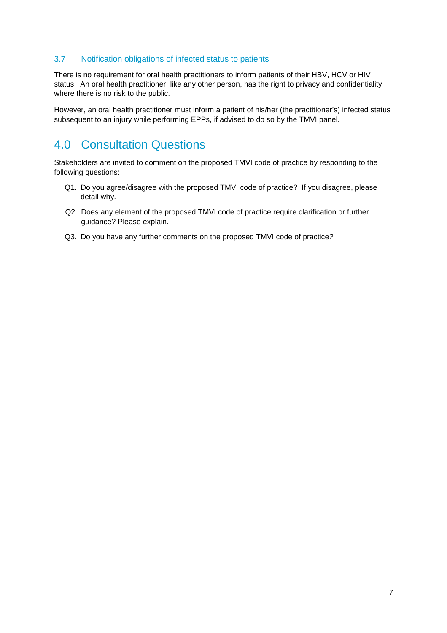#### 3.7 Notification obligations of infected status to patients

There is no requirement for oral health practitioners to inform patients of their HBV, HCV or HIV status. An oral health practitioner, like any other person, has the right to privacy and confidentiality where there is no risk to the public.

However, an oral health practitioner must inform a patient of his/her (the practitioner's) infected status subsequent to an injury while performing EPPs, if advised to do so by the TMVI panel.

## 4.0 Consultation Questions

Stakeholders are invited to comment on the proposed TMVI code of practice by responding to the following questions:

- Q1. Do you agree/disagree with the proposed TMVI code of practice? If you disagree, please detail why.
- Q2. Does any element of the proposed TMVI code of practice require clarification or further guidance? Please explain.
- Q3. Do you have any further comments on the proposed TMVI code of practice?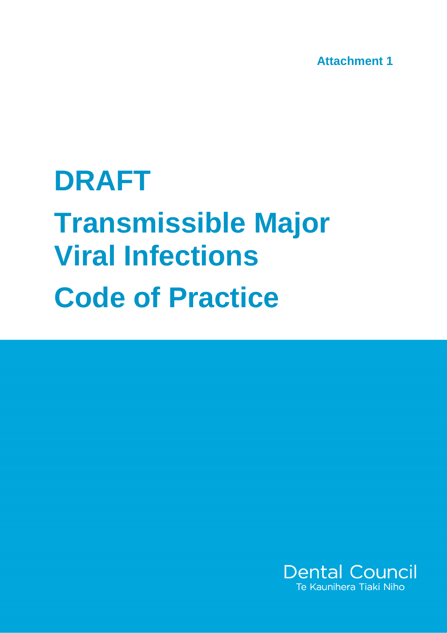**Attachment 1**

# **DRAFT Transmissible Major Viral Infections Code of Practice**

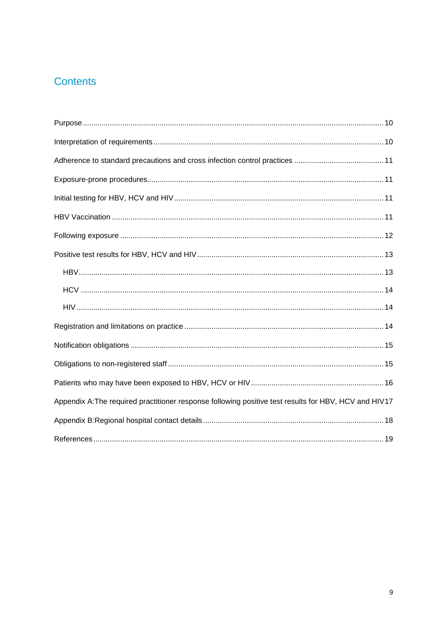## Contents

| Appendix A: The required practitioner response following positive test results for HBV, HCV and HIV17 |
|-------------------------------------------------------------------------------------------------------|
|                                                                                                       |
|                                                                                                       |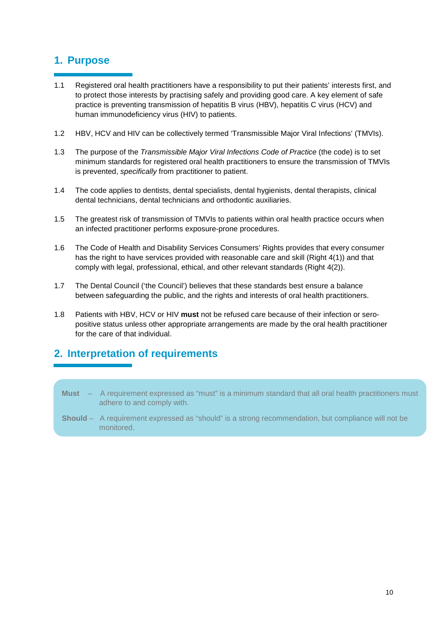#### **1. Purpose**

- 1.1 Registered oral health practitioners have a responsibility to put their patients' interests first, and to protect those interests by practising safely and providing good care. A key element of safe practice is preventing transmission of hepatitis B virus (HBV), hepatitis C virus (HCV) and human immunodeficiency virus (HIV) to patients.
- 1.2 HBV, HCV and HIV can be collectively termed 'Transmissible Major Viral Infections' (TMVIs).
- 1.3 The purpose of the Transmissible Major Viral Infections Code of Practice (the code) is to set minimum standards for registered oral health practitioners to ensure the transmission of TMVIs is prevented, specifically from practitioner to patient.
- 1.4 The code applies to dentists, dental specialists, dental hygienists, dental therapists, clinical dental technicians, dental technicians and orthodontic auxiliaries.
- 1.5 The greatest risk of transmission of TMVIs to patients within oral health practice occurs when an infected practitioner performs exposure-prone procedures.
- 1.6 The Code of Health and Disability Services Consumers' Rights provides that every consumer has the right to have services provided with reasonable care and skill (Right 4(1)) and that comply with legal, professional, ethical, and other relevant standards (Right 4(2)).
- 1.7 The Dental Council ('the Council') believes that these standards best ensure a balance between safeguarding the public, and the rights and interests of oral health practitioners.
- 1.8 Patients with HBV, HCV or HIV **must** not be refused care because of their infection or seropositive status unless other appropriate arrangements are made by the oral health practitioner for the care of that individual.

## **2. Interpretation of requirements**

- **Must**  A requirement expressed as "must" is a minimum standard that all oral health practitioners must adhere to and comply with.
- **Should** A requirement expressed as "should" is a strong recommendation, but compliance will not be monitored.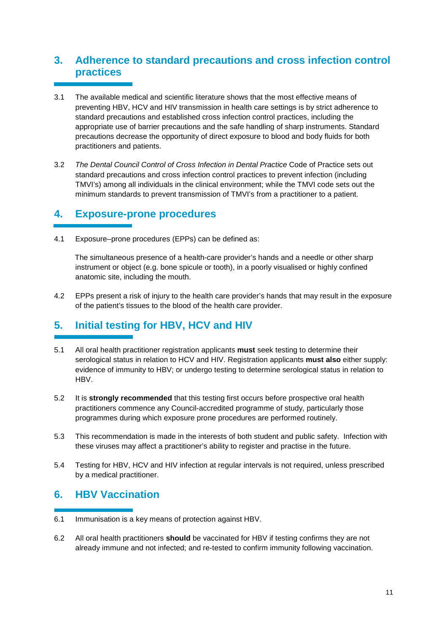## **3. Adherence to standard precautions and cross infection control practices**

- 3.1 The available medical and scientific literature shows that the most effective means of preventing HBV, HCV and HIV transmission in health care settings is by strict adherence to standard precautions and established cross infection control practices, including the appropriate use of barrier precautions and the safe handling of sharp instruments. Standard precautions decrease the opportunity of direct exposure to blood and body fluids for both practitioners and patients.
- 3.2 The Dental Council Control of Cross Infection in Dental Practice Code of Practice sets out standard precautions and cross infection control practices to prevent infection (including TMVI's) among all individuals in the clinical environment; while the TMVI code sets out the minimum standards to prevent transmission of TMVI's from a practitioner to a patient.

#### **4. Exposure-prone procedures**

4.1 Exposure–prone procedures (EPPs) can be defined as:

 The simultaneous presence of a health-care provider's hands and a needle or other sharp instrument or object (e.g. bone spicule or tooth), in a poorly visualised or highly confined anatomic site, including the mouth.

4.2 EPPs present a risk of injury to the health care provider's hands that may result in the exposure of the patient's tissues to the blood of the health care provider.

## **5. Initial testing for HBV, HCV and HIV**

- 5.1 All oral health practitioner registration applicants **must** seek testing to determine their serological status in relation to HCV and HIV. Registration applicants **must also** either supply: evidence of immunity to HBV; or undergo testing to determine serological status in relation to HBV.
- 5.2 It is **strongly recommended** that this testing first occurs before prospective oral health practitioners commence any Council-accredited programme of study, particularly those programmes during which exposure prone procedures are performed routinely.
- 5.3 This recommendation is made in the interests of both student and public safety. Infection with these viruses may affect a practitioner's ability to register and practise in the future.
- 5.4 Testing for HBV, HCV and HIV infection at regular intervals is not required, unless prescribed by a medical practitioner.

## **6. HBV Vaccination**

- 6.1 Immunisation is a key means of protection against HBV.
- 6.2 All oral health practitioners **should** be vaccinated for HBV if testing confirms they are not already immune and not infected; and re-tested to confirm immunity following vaccination.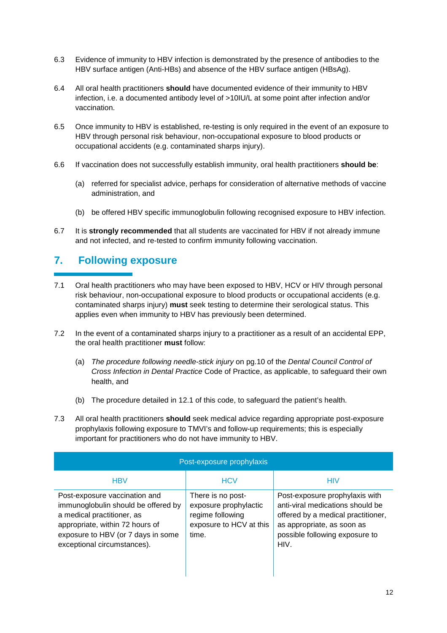- 6.3 Evidence of immunity to HBV infection is demonstrated by the presence of antibodies to the HBV surface antigen (Anti-HBs) and absence of the HBV surface antigen (HBsAg).
- 6.4 All oral health practitioners **should** have documented evidence of their immunity to HBV infection, i.e. a documented antibody level of >10IU/L at some point after infection and/or vaccination.
- 6.5 Once immunity to HBV is established, re-testing is only required in the event of an exposure to HBV through personal risk behaviour, non-occupational exposure to blood products or occupational accidents (e.g. contaminated sharps injury).
- 6.6 If vaccination does not successfully establish immunity, oral health practitioners **should be**:
	- (a) referred for specialist advice, perhaps for consideration of alternative methods of vaccine administration, and
	- (b) be offered HBV specific immunoglobulin following recognised exposure to HBV infection.
- 6.7 It is **strongly recommended** that all students are vaccinated for HBV if not already immune and not infected, and re-tested to confirm immunity following vaccination.

## **7. Following exposure**

- 7.1 Oral health practitioners who may have been exposed to HBV, HCV or HIV through personal risk behaviour, non-occupational exposure to blood products or occupational accidents (e.g. contaminated sharps injury) **must** seek testing to determine their serological status. This applies even when immunity to HBV has previously been determined.
- 7.2 In the event of a contaminated sharps injury to a practitioner as a result of an accidental EPP, the oral health practitioner **must** follow:
	- (a) The procedure following needle-stick injury on pg.10 of the Dental Council Control of Cross Infection in Dental Practice Code of Practice, as applicable, to safeguard their own health, and
	- (b) The procedure detailed in 12.1 of this code, to safeguard the patient's health.
- 7.3 All oral health practitioners **should** seek medical advice regarding appropriate post-exposure prophylaxis following exposure to TMVI's and follow-up requirements; this is especially important for practitioners who do not have immunity to HBV.

| Post-exposure prophylaxis                                                                                                                                                                                  |                                                                                                    |                                                                                                                                                                                  |  |  |
|------------------------------------------------------------------------------------------------------------------------------------------------------------------------------------------------------------|----------------------------------------------------------------------------------------------------|----------------------------------------------------------------------------------------------------------------------------------------------------------------------------------|--|--|
| <b>HBV</b>                                                                                                                                                                                                 | <b>HCV</b>                                                                                         | <b>HIV</b>                                                                                                                                                                       |  |  |
| Post-exposure vaccination and<br>immunoglobulin should be offered by<br>a medical practitioner, as<br>appropriate, within 72 hours of<br>exposure to HBV (or 7 days in some<br>exceptional circumstances). | There is no post-<br>exposure prophylactic<br>regime following<br>exposure to HCV at this<br>time. | Post-exposure prophylaxis with<br>anti-viral medications should be<br>offered by a medical practitioner,<br>as appropriate, as soon as<br>possible following exposure to<br>HIV. |  |  |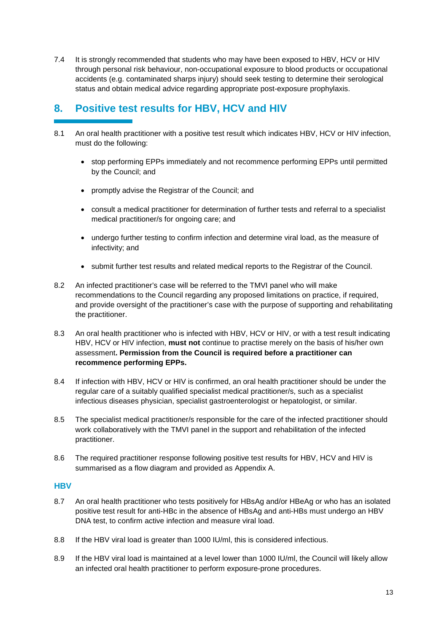7.4 It is strongly recommended that students who may have been exposed to HBV, HCV or HIV through personal risk behaviour, non-occupational exposure to blood products or occupational accidents (e.g. contaminated sharps injury) should seek testing to determine their serological status and obtain medical advice regarding appropriate post-exposure prophylaxis.

## **8. Positive test results for HBV, HCV and HIV**

- 8.1 An oral health practitioner with a positive test result which indicates HBV, HCV or HIV infection, must do the following:
	- stop performing EPPs immediately and not recommence performing EPPs until permitted by the Council; and
	- promptly advise the Registrar of the Council; and
	- consult a medical practitioner for determination of further tests and referral to a specialist medical practitioner/s for ongoing care; and
	- undergo further testing to confirm infection and determine viral load, as the measure of infectivity; and
	- submit further test results and related medical reports to the Registrar of the Council.
- 8.2 An infected practitioner's case will be referred to the TMVI panel who will make recommendations to the Council regarding any proposed limitations on practice, if required, and provide oversight of the practitioner's case with the purpose of supporting and rehabilitating the practitioner.
- 8.3 An oral health practitioner who is infected with HBV, HCV or HIV, or with a test result indicating HBV, HCV or HIV infection, **must not** continue to practise merely on the basis of his/her own assessment**. Permission from the Council is required before a practitioner can recommence performing EPPs.**
- 8.4 If infection with HBV, HCV or HIV is confirmed, an oral health practitioner should be under the regular care of a suitably qualified specialist medical practitioner/s, such as a specialist infectious diseases physician, specialist gastroenterologist or hepatologist, or similar.
- 8.5 The specialist medical practitioner/s responsible for the care of the infected practitioner should work collaboratively with the TMVI panel in the support and rehabilitation of the infected practitioner.
- 8.6 The required practitioner response following positive test results for HBV, HCV and HIV is summarised as a flow diagram and provided as Appendix A.

#### **HBV**

- 8.7 An oral health practitioner who tests positively for HBsAg and/or HBeAg or who has an isolated positive test result for anti-HBc in the absence of HBsAg and anti-HBs must undergo an HBV DNA test, to confirm active infection and measure viral load.
- 8.8 If the HBV viral load is greater than 1000 IU/ml, this is considered infectious.
- 8.9 If the HBV viral load is maintained at a level lower than 1000 IU/ml, the Council will likely allow an infected oral health practitioner to perform exposure-prone procedures.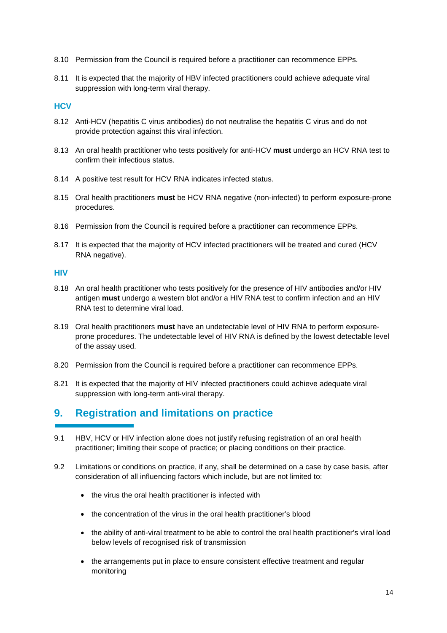- 8.10 Permission from the Council is required before a practitioner can recommence EPPs.
- 8.11 It is expected that the majority of HBV infected practitioners could achieve adequate viral suppression with long-term viral therapy.

#### **HCV**

- 8.12 Anti-HCV (hepatitis C virus antibodies) do not neutralise the hepatitis C virus and do not provide protection against this viral infection.
- 8.13 An oral health practitioner who tests positively for anti-HCV **must** undergo an HCV RNA test to confirm their infectious status.
- 8.14 A positive test result for HCV RNA indicates infected status.
- 8.15 Oral health practitioners **must** be HCV RNA negative (non-infected) to perform exposure-prone procedures.
- 8.16 Permission from the Council is required before a practitioner can recommence EPPs.
- 8.17 It is expected that the majority of HCV infected practitioners will be treated and cured (HCV RNA negative).

#### **HIV**

- 8.18 An oral health practitioner who tests positively for the presence of HIV antibodies and/or HIV antigen **must** undergo a western blot and/or a HIV RNA test to confirm infection and an HIV RNA test to determine viral load.
- 8.19 Oral health practitioners **must** have an undetectable level of HIV RNA to perform exposureprone procedures. The undetectable level of HIV RNA is defined by the lowest detectable level of the assay used.
- 8.20 Permission from the Council is required before a practitioner can recommence EPPs.
- 8.21 It is expected that the majority of HIV infected practitioners could achieve adequate viral suppression with long-term anti-viral therapy.

## **9. Registration and limitations on practice**

- 9.1 HBV, HCV or HIV infection alone does not justify refusing registration of an oral health practitioner; limiting their scope of practice; or placing conditions on their practice.
- 9.2 Limitations or conditions on practice, if any, shall be determined on a case by case basis, after consideration of all influencing factors which include, but are not limited to:
	- the virus the oral health practitioner is infected with
	- the concentration of the virus in the oral health practitioner's blood
	- the ability of anti-viral treatment to be able to control the oral health practitioner's viral load below levels of recognised risk of transmission
	- the arrangements put in place to ensure consistent effective treatment and regular monitoring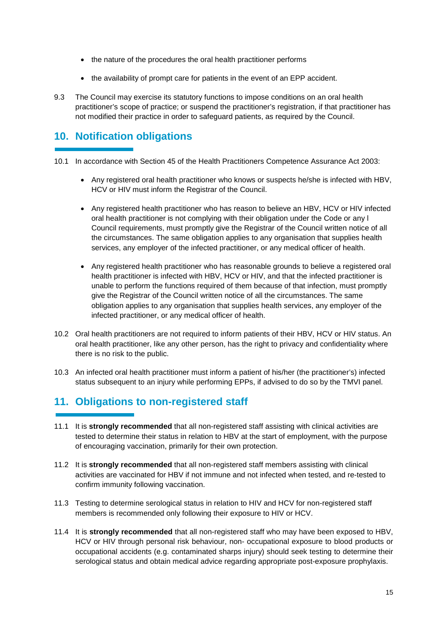- the nature of the procedures the oral health practitioner performs
- the availability of prompt care for patients in the event of an EPP accident.
- 9.3 The Council may exercise its statutory functions to impose conditions on an oral health practitioner's scope of practice; or suspend the practitioner's registration, if that practitioner has not modified their practice in order to safeguard patients, as required by the Council.

## **10. Notification obligations**

- 10.1 In accordance with Section 45 of the Health Practitioners Competence Assurance Act 2003:
	- Any registered oral health practitioner who knows or suspects he/she is infected with HBV, HCV or HIV must inform the Registrar of the Council.
	- Any registered health practitioner who has reason to believe an HBV, HCV or HIV infected oral health practitioner is not complying with their obligation under the Code or any l Council requirements, must promptly give the Registrar of the Council written notice of all the circumstances. The same obligation applies to any organisation that supplies health services, any employer of the infected practitioner, or any medical officer of health.
	- Any registered health practitioner who has reasonable grounds to believe a registered oral health practitioner is infected with HBV, HCV or HIV, and that the infected practitioner is unable to perform the functions required of them because of that infection, must promptly give the Registrar of the Council written notice of all the circumstances. The same obligation applies to any organisation that supplies health services, any employer of the infected practitioner, or any medical officer of health.
- 10.2 Oral health practitioners are not required to inform patients of their HBV, HCV or HIV status. An oral health practitioner, like any other person, has the right to privacy and confidentiality where there is no risk to the public.
- 10.3 An infected oral health practitioner must inform a patient of his/her (the practitioner's) infected status subsequent to an injury while performing EPPs, if advised to do so by the TMVI panel.

## **11. Obligations to non-registered staff**

- 11.1 It is **strongly recommended** that all non-registered staff assisting with clinical activities are tested to determine their status in relation to HBV at the start of employment, with the purpose of encouraging vaccination, primarily for their own protection.
- 11.2 It is **strongly recommended** that all non-registered staff members assisting with clinical activities are vaccinated for HBV if not immune and not infected when tested, and re-tested to confirm immunity following vaccination.
- 11.3 Testing to determine serological status in relation to HIV and HCV for non-registered staff members is recommended only following their exposure to HIV or HCV.
- 11.4 It is **strongly recommended** that all non-registered staff who may have been exposed to HBV, HCV or HIV through personal risk behaviour, non- occupational exposure to blood products or occupational accidents (e.g. contaminated sharps injury) should seek testing to determine their serological status and obtain medical advice regarding appropriate post-exposure prophylaxis.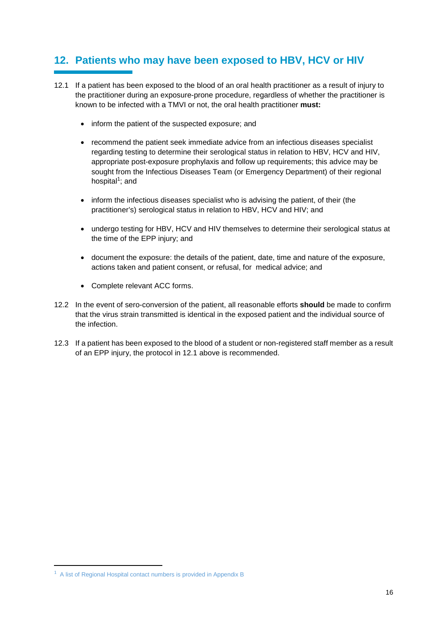## **12. Patients who may have been exposed to HBV, HCV or HIV**

- 12.1 If a patient has been exposed to the blood of an oral health practitioner as a result of injury to the practitioner during an exposure-prone procedure, regardless of whether the practitioner is known to be infected with a TMVI or not, the oral health practitioner **must:**
	- inform the patient of the suspected exposure; and
	- recommend the patient seek immediate advice from an infectious diseases specialist regarding testing to determine their serological status in relation to HBV, HCV and HIV, appropriate post-exposure prophylaxis and follow up requirements; this advice may be sought from the Infectious Diseases Team (or Emergency Department) of their regional hospital<sup>1</sup>; and
	- inform the infectious diseases specialist who is advising the patient, of their (the practitioner's) serological status in relation to HBV, HCV and HIV; and
	- undergo testing for HBV, HCV and HIV themselves to determine their serological status at the time of the EPP injury; and
	- document the exposure: the details of the patient, date, time and nature of the exposure, actions taken and patient consent, or refusal, for medical advice; and
	- Complete relevant ACC forms.
- 12.2 In the event of sero-conversion of the patient, all reasonable efforts **should** be made to confirm that the virus strain transmitted is identical in the exposed patient and the individual source of the infection.
- 12.3 If a patient has been exposed to the blood of a student or non-registered staff member as a result of an EPP injury, the protocol in 12.1 above is recommended.

l

 $1$  A list of Regional Hospital contact numbers is provided in Appendix B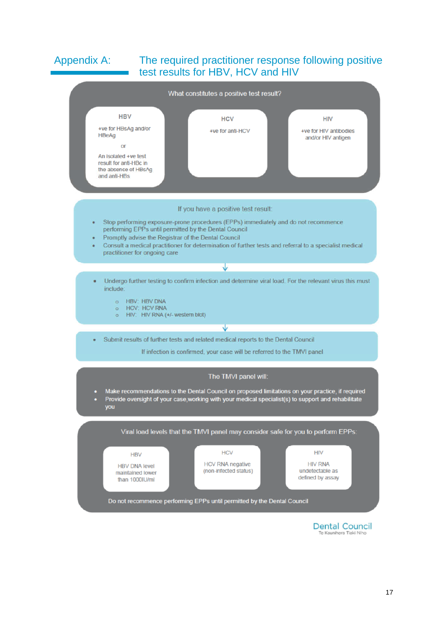#### Appendix A: The required practitioner response following positive test results for HBV, HCV and HIV



**Dental Council** Te Kaunibera Tiaki Niho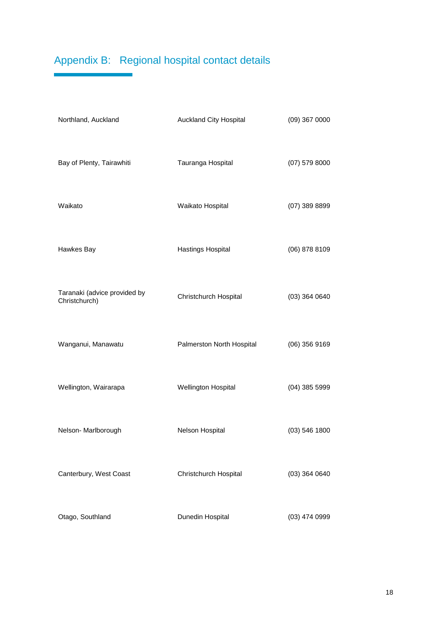## Appendix B: Regional hospital contact details

| Northland, Auckland                           | Auckland City Hospital    | $(09)$ 367 0000 |
|-----------------------------------------------|---------------------------|-----------------|
| Bay of Plenty, Tairawhiti                     | Tauranga Hospital         | $(07)$ 579 8000 |
| Waikato                                       | Waikato Hospital          | $(07)$ 389 8899 |
| Hawkes Bay                                    | Hastings Hospital         | $(06)$ 878 8109 |
| Taranaki (advice provided by<br>Christchurch) | Christchurch Hospital     | $(03)$ 364 0640 |
| Wanganui, Manawatu                            | Palmerston North Hospital | $(06)$ 356 9169 |
| Wellington, Wairarapa                         | Wellington Hospital       | $(04)$ 385 5999 |
| Nelson-Marlborough                            | Nelson Hospital           | $(03)$ 546 1800 |
| Canterbury, West Coast                        | Christchurch Hospital     | $(03)$ 364 0640 |
| Otago, Southland                              | Dunedin Hospital          | $(03)$ 474 0999 |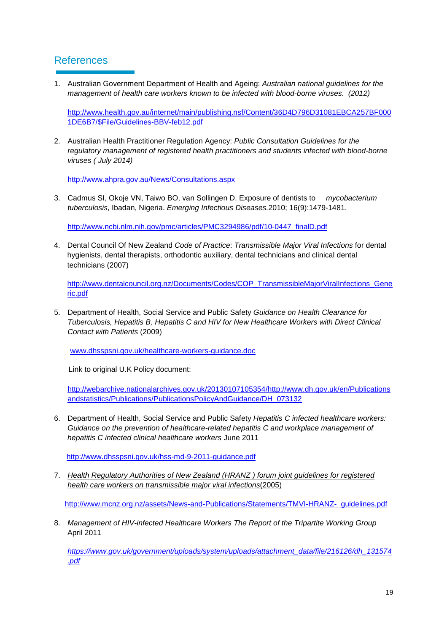#### References

1. Australian Government Department of Health and Ageing: Australian national guidelines for the management of health care workers known to be infected with blood-borne viruses. (2012)

http://www.health.gov.au/internet/main/publishing.nsf/Content/36D4D796D31081EBCA257BF000 1DE6B7/\$File/Guidelines-BBV-feb12.pdf

2. Australian Health Practitioner Regulation Agency: Public Consultation Guidelines for the regulatory management of registered health practitioners and students infected with blood-borne viruses ( July 2014)

http://www.ahpra.gov.au/News/Consultations.aspx

3. Cadmus SI, Okoje VN, Taiwo BO, van Sollingen D. Exposure of dentists to *mycobacterium* tuberculosis, Ibadan, Nigeria. Emerging Infectious Diseases.2010; 16(9):1479-1481.

http://www.ncbi.nlm.nih.gov/pmc/articles/PMC3294986/pdf/10-0447\_finalD.pdf

4. Dental Council Of New Zealand Code of Practice: Transmissible Major Viral Infections for dental hygienists, dental therapists, orthodontic auxiliary, dental technicians and clinical dental technicians (2007)

http://www.dentalcouncil.org.nz/Documents/Codes/COP\_TransmissibleMajorViralInfections\_Gene ric.pdf

5. Department of Health, Social Service and Public Safety Guidance on Health Clearance for Tuberculosis, Hepatitis B, Hepatitis C and HIV for New Healthcare Workers with Direct Clinical Contact with Patients (2009)

www.dhsspsni.gov.uk/healthcare-workers-guidance.doc

Link to original U.K Policy document:

http://webarchive.nationalarchives.gov.uk/20130107105354/http://www.dh.gov.uk/en/Publications andstatistics/Publications/PublicationsPolicyAndGuidance/DH\_073132

6. Department of Health, Social Service and Public Safety Hepatitis C infected healthcare workers: Guidance on the prevention of healthcare-related hepatitis C and workplace management of hepatitis C infected clinical healthcare workers June 2011

http://www.dhsspsni.gov.uk/hss-md-9-2011-guidance.pdf

7. Health Regulatory Authorities of New Zealand (HRANZ ) forum joint guidelines for registered health care workers on transmissible major viral infections(2005)

http://www.mcnz.org.nz/assets/News-and-Publications/Statements/TMVI-HRANZ- guidelines.pdf

8. Management of HIV-infected Healthcare Workers The Report of the Tripartite Working Group April 2011

https://www.gov.uk/government/uploads/system/uploads/attachment\_data/file/216126/dh\_131574 .pdf